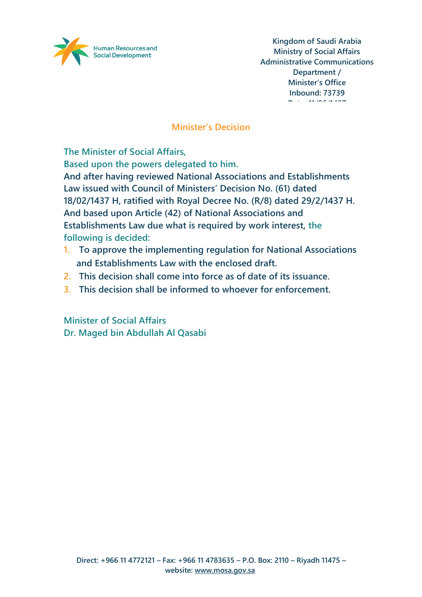

### **Minister's Decision**

**The Minister of Social Affairs,**

**Based upon the powers delegated to him.**

**And after having reviewed National Associations and Establishments Law issued with Council of Ministers' Decision No. (61) dated 18/02/1437 H, ratified with Royal Decree No. (R/8) dated 29/2/1437 H. And based upon Article (42) of National Associations and Establishments Law due what is required by work interest, the following is decided:**

- **1. To approve the implementing regulation for National Associations and Establishments Law with the enclosed draft.**
- **2. This decision shall come into force as of date of its issuance.**
- **3. This decision shall be informed to whoever for enforcement.**

**Minister of Social Affairs Dr. Maged bin Abdullah Al Qasabi**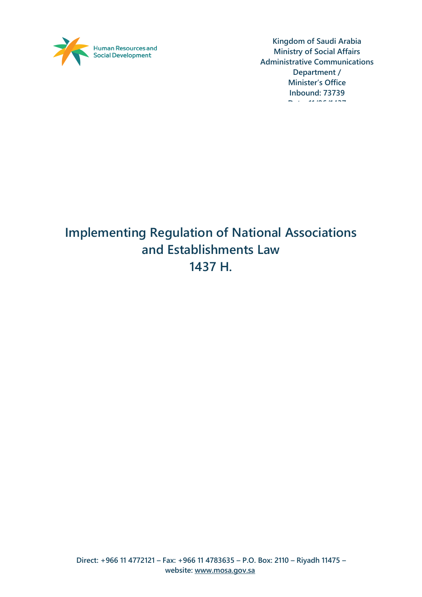

# **Implementing Regulation of National Associations and Establishments Law 1437 H.**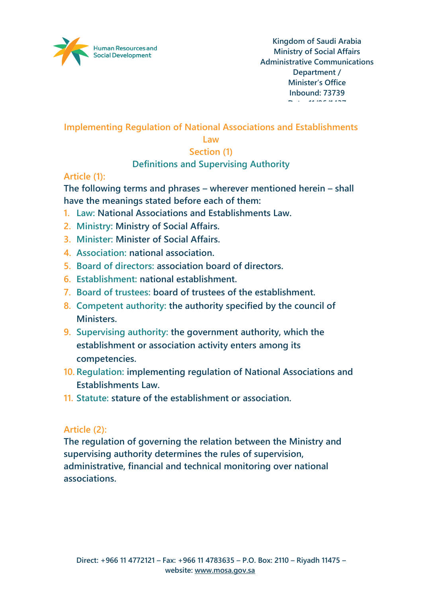

**Implementing Regulation of National Associations and Establishments** 

#### **Law**

# **Section (1)**

### **Definitions and Supervising Authority**

### **Article (1):**

**The following terms and phrases – wherever mentioned herein – shall have the meanings stated before each of them:**

- **1. Law: National Associations and Establishments Law.**
- **2. Ministry: Ministry of Social Affairs.**
- **3. Minister: Minister of Social Affairs.**
- **4. Association: national association.**
- **5. Board of directors: association board of directors.**
- **6. Establishment: national establishment.**
- **7. Board of trustees: board of trustees of the establishment.**
- **8. Competent authority: the authority specified by the council of Ministers.**
- **9. Supervising authority: the government authority, which the establishment or association activity enters among its competencies.**
- **10. Regulation: implementing regulation of National Associations and Establishments Law.**
- **11. Statute: stature of the establishment or association.**

# **Article (2):**

**The regulation of governing the relation between the Ministry and supervising authority determines the rules of supervision, administrative, financial and technical monitoring over national associations.**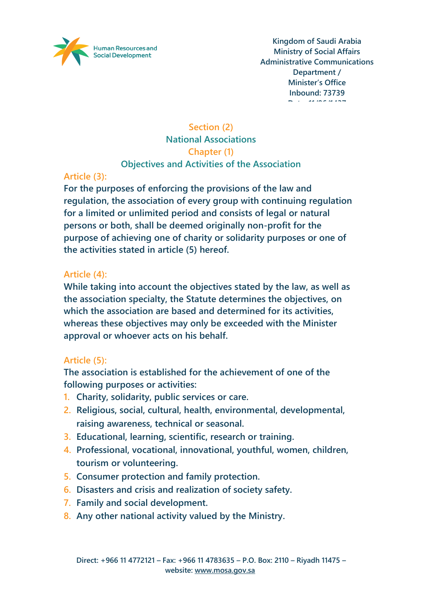

# **Section (2) National Associations Chapter (1) Objectives and Activities of the Association**

# **Article (3):**

**For the purposes of enforcing the provisions of the law and regulation, the association of every group with continuing regulation for a limited or unlimited period and consists of legal or natural persons or both, shall be deemed originally non-profit for the purpose of achieving one of charity or solidarity purposes or one of the activities stated in article (5) hereof.**

### **Article (4):**

**While taking into account the objectives stated by the law, as well as the association specialty, the Statute determines the objectives, on which the association are based and determined for its activities, whereas these objectives may only be exceeded with the Minister approval or whoever acts on his behalf.**

# **Article (5):**

**The association is established for the achievement of one of the following purposes or activities:**

- **1. Charity, solidarity, public services or care.**
- **2. Religious, social, cultural, health, environmental, developmental, raising awareness, technical or seasonal.**
- **3. Educational, learning, scientific, research or training.**
- **4. Professional, vocational, innovational, youthful, women, children, tourism or volunteering.**
- **5. Consumer protection and family protection.**
- **6. Disasters and crisis and realization of society safety.**
- **7. Family and social development.**
- **8. Any other national activity valued by the Ministry.**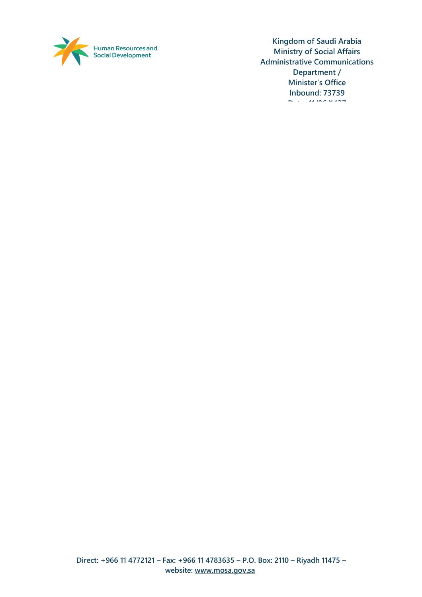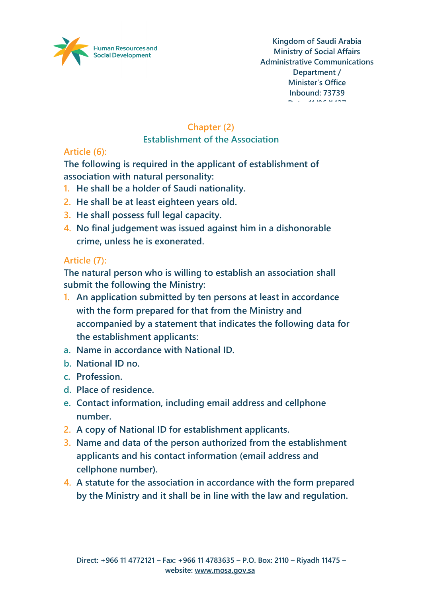

# **Chapter (2)**

#### **Establishment of the Association**

# **Article (6):**

**The following is required in the applicant of establishment of association with natural personality:**

- **1. He shall be a holder of Saudi nationality.**
- **2. He shall be at least eighteen years old.**
- **3. He shall possess full legal capacity.**
- **4. No final judgement was issued against him in a dishonorable crime, unless he is exonerated.**

# **Article (7):**

**The natural person who is willing to establish an association shall submit the following the Ministry:**

- **1. An application submitted by ten persons at least in accordance with the form prepared for that from the Ministry and accompanied by a statement that indicates the following data for the establishment applicants:**
- **a. Name in accordance with National ID.**
- **b. National ID no.**
- **c. Profession.**
- **d. Place of residence.**
- **e. Contact information, including email address and cellphone number.**
- **2. A copy of National ID for establishment applicants.**
- **3. Name and data of the person authorized from the establishment applicants and his contact information (email address and cellphone number).**
- **4. A statute for the association in accordance with the form prepared by the Ministry and it shall be in line with the law and regulation.**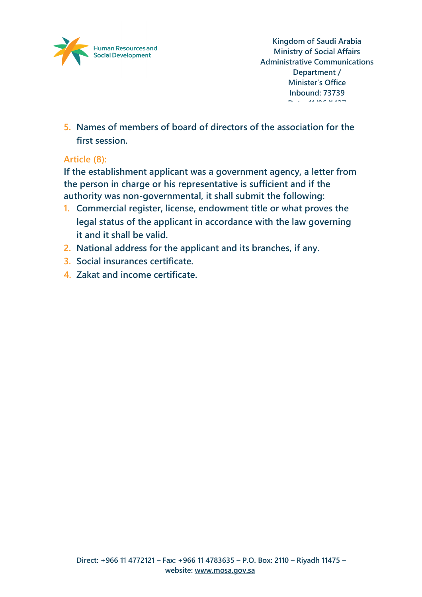

**5. Names of members of board of directors of the association for the first session.**

# **Article (8):**

**If the establishment applicant was a government agency, a letter from the person in charge or his representative is sufficient and if the authority was non-governmental, it shall submit the following:**

- **1. Commercial register, license, endowment title or what proves the legal status of the applicant in accordance with the law governing it and it shall be valid.**
- **2. National address for the applicant and its branches, if any.**
- **3. Social insurances certificate.**
- **4. Zakat and income certificate.**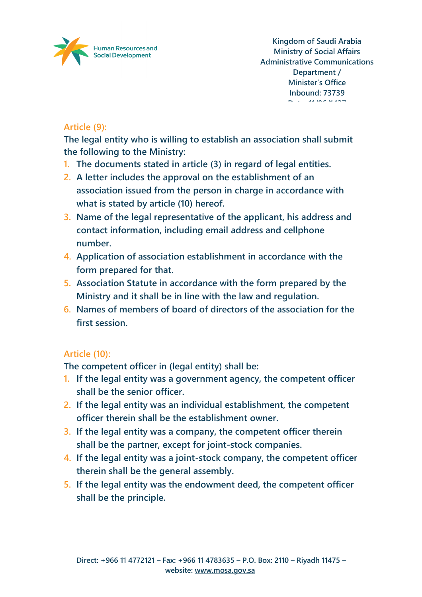

# **Article (9):**

**The legal entity who is willing to establish an association shall submit the following to the Ministry:**

- **1. The documents stated in article (3) in regard of legal entities.**
- **2. A letter includes the approval on the establishment of an association issued from the person in charge in accordance with what is stated by article (10) hereof.**
- **3. Name of the legal representative of the applicant, his address and contact information, including email address and cellphone number.**
- **4. Application of association establishment in accordance with the form prepared for that.**
- **5. Association Statute in accordance with the form prepared by the Ministry and it shall be in line with the law and regulation.**
- **6. Names of members of board of directors of the association for the first session.**

# **Article (10):**

**The competent officer in (legal entity) shall be:**

- **1. If the legal entity was a government agency, the competent officer shall be the senior officer.**
- **2. If the legal entity was an individual establishment, the competent officer therein shall be the establishment owner.**
- **3. If the legal entity was a company, the competent officer therein shall be the partner, except for joint-stock companies.**
- **4. If the legal entity was a joint-stock company, the competent officer therein shall be the general assembly.**
- **5. If the legal entity was the endowment deed, the competent officer shall be the principle.**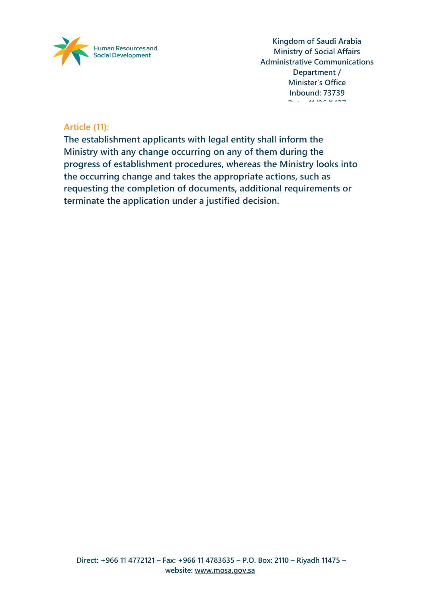

#### **Article (11):**

**The establishment applicants with legal entity shall inform the Ministry with any change occurring on any of them during the progress of establishment procedures, whereas the Ministry looks into the occurring change and takes the appropriate actions, such as requesting the completion of documents, additional requirements or terminate the application under a justified decision.**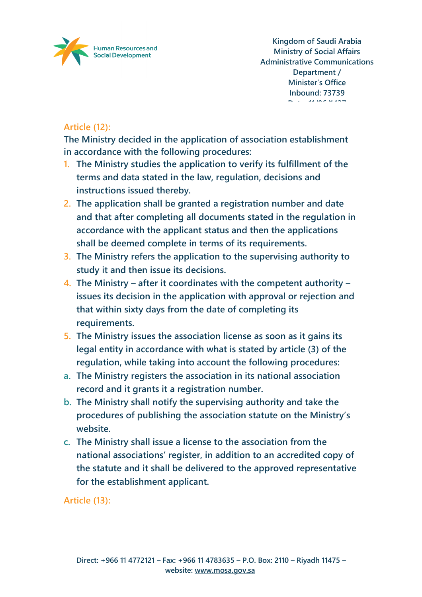

# **Article (12):**

**The Ministry decided in the application of association establishment in accordance with the following procedures:**

- **1. The Ministry studies the application to verify its fulfillment of the terms and data stated in the law, regulation, decisions and instructions issued thereby.**
- **2. The application shall be granted a registration number and date and that after completing all documents stated in the regulation in accordance with the applicant status and then the applications shall be deemed complete in terms of its requirements.**
- **3. The Ministry refers the application to the supervising authority to study it and then issue its decisions.**
- **4. The Ministry – after it coordinates with the competent authority – issues its decision in the application with approval or rejection and that within sixty days from the date of completing its requirements.**
- **5. The Ministry issues the association license as soon as it gains its legal entity in accordance with what is stated by article (3) of the regulation, while taking into account the following procedures:**
- **a. The Ministry registers the association in its national association record and it grants it a registration number.**
- **b. The Ministry shall notify the supervising authority and take the procedures of publishing the association statute on the Ministry's website.**
- **c. The Ministry shall issue a license to the association from the national associations' register, in addition to an accredited copy of the statute and it shall be delivered to the approved representative for the establishment applicant.**

**Article (13):**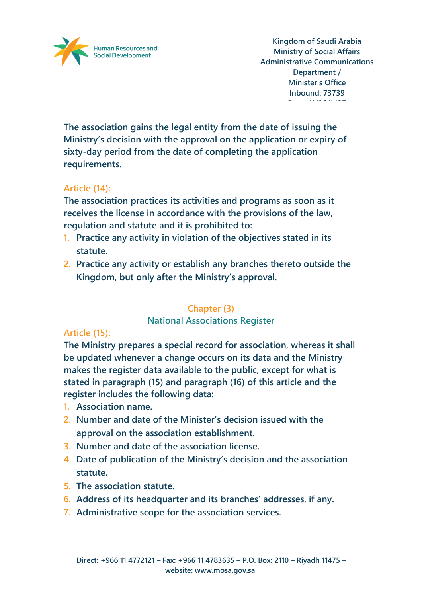

**The association gains the legal entity from the date of issuing the Ministry's decision with the approval on the application or expiry of sixty-day period from the date of completing the application requirements.**

# **Article (14):**

**The association practices its activities and programs as soon as it receives the license in accordance with the provisions of the law, regulation and statute and it is prohibited to:**

- **1. Practice any activity in violation of the objectives stated in its statute.**
- **2. Practice any activity or establish any branches thereto outside the Kingdom, but only after the Ministry's approval.**

# **Chapter (3)**

### **National Associations Register**

# **Article (15):**

**The Ministry prepares a special record for association, whereas it shall be updated whenever a change occurs on its data and the Ministry makes the register data available to the public, except for what is stated in paragraph (15) and paragraph (16) of this article and the register includes the following data:**

- **1. Association name.**
- **2. Number and date of the Minister's decision issued with the approval on the association establishment.**
- **3. Number and date of the association license.**
- **4. Date of publication of the Ministry's decision and the association statute.**
- **5. The association statute.**
- **6. Address of its headquarter and its branches' addresses, if any.**
- **7. Administrative scope for the association services.**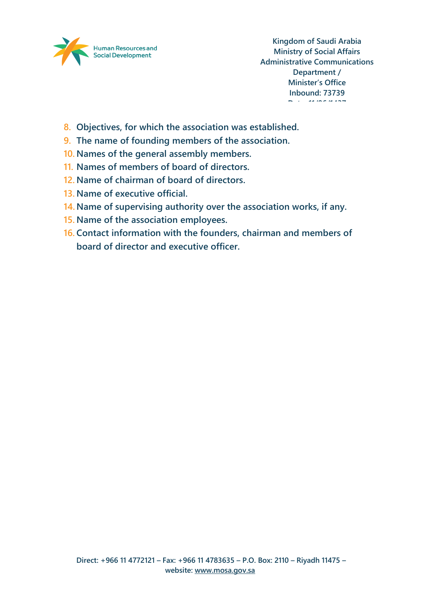

- **8. Objectives, for which the association was established.**
- **9. The name of founding members of the association.**
- **10. Names of the general assembly members.**
- **11. Names of members of board of directors.**
- **12. Name of chairman of board of directors.**
- **13. Name of executive official.**
- **14. Name of supervising authority over the association works, if any.**
- **15. Name of the association employees.**
- **16. Contact information with the founders, chairman and members of board of director and executive officer.**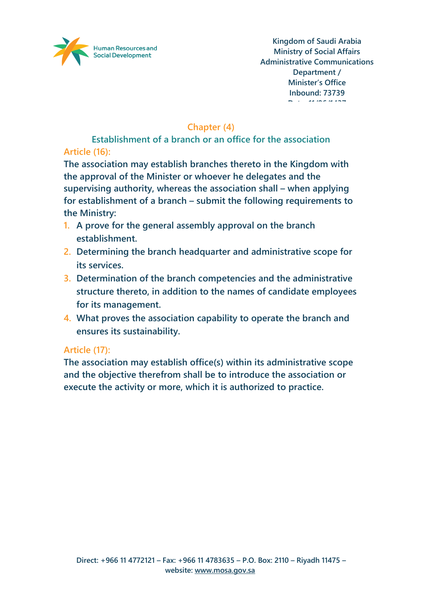

# **Chapter (4)**

**Establishment of a branch or an office for the association Article (16):**

**The association may establish branches thereto in the Kingdom with the approval of the Minister or whoever he delegates and the supervising authority, whereas the association shall – when applying for establishment of a branch – submit the following requirements to the Ministry:**

- **1. A prove for the general assembly approval on the branch establishment.**
- **2. Determining the branch headquarter and administrative scope for its services.**
- **3. Determination of the branch competencies and the administrative structure thereto, in addition to the names of candidate employees for its management.**
- **4. What proves the association capability to operate the branch and ensures its sustainability.**

### **Article (17):**

**The association may establish office(s) within its administrative scope and the objective therefrom shall be to introduce the association or execute the activity or more, which it is authorized to practice.**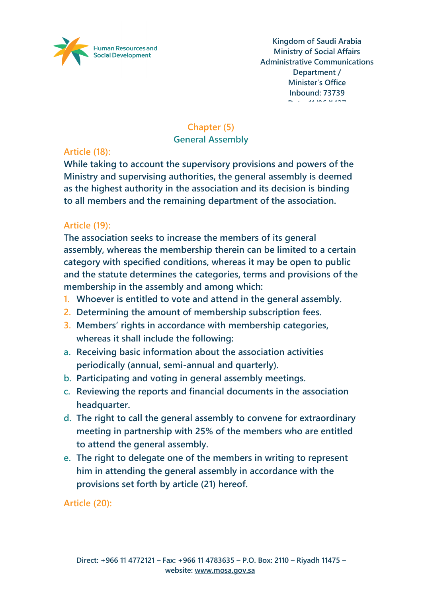

# **Chapter (5)**

#### **General Assembly**

# **Article (18):**

**While taking to account the supervisory provisions and powers of the Ministry and supervising authorities, the general assembly is deemed as the highest authority in the association and its decision is binding to all members and the remaining department of the association.**

# **Article (19):**

**The association seeks to increase the members of its general assembly, whereas the membership therein can be limited to a certain category with specified conditions, whereas it may be open to public and the statute determines the categories, terms and provisions of the membership in the assembly and among which:**

- **1. Whoever is entitled to vote and attend in the general assembly.**
- **2. Determining the amount of membership subscription fees.**
- **3. Members' rights in accordance with membership categories, whereas it shall include the following:**
- **a. Receiving basic information about the association activities periodically (annual, semi-annual and quarterly).**
- **b. Participating and voting in general assembly meetings.**
- **c. Reviewing the reports and financial documents in the association headquarter.**
- **d. The right to call the general assembly to convene for extraordinary meeting in partnership with 25% of the members who are entitled to attend the general assembly.**
- **e. The right to delegate one of the members in writing to represent him in attending the general assembly in accordance with the provisions set forth by article (21) hereof.**

**Article (20):**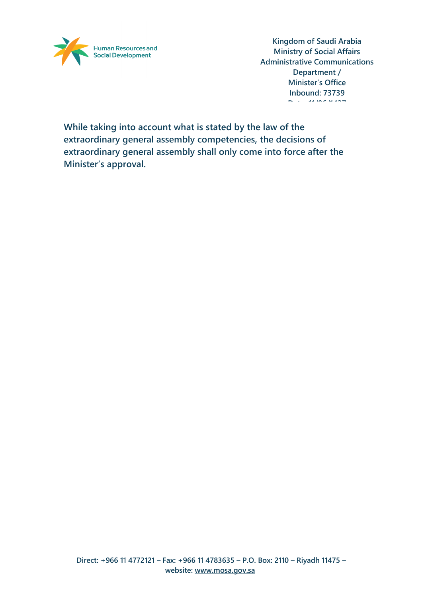

**While taking into account what is stated by the law of the extraordinary general assembly competencies, the decisions of extraordinary general assembly shall only come into force after the Minister's approval.**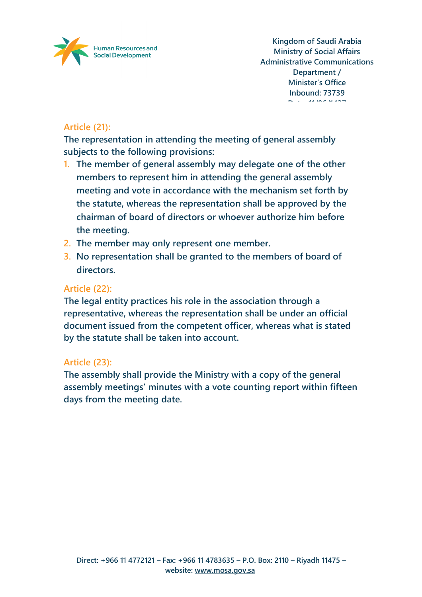

# **Article (21):**

**The representation in attending the meeting of general assembly subjects to the following provisions:**

- **1. The member of general assembly may delegate one of the other members to represent him in attending the general assembly meeting and vote in accordance with the mechanism set forth by the statute, whereas the representation shall be approved by the chairman of board of directors or whoever authorize him before the meeting.**
- **2. The member may only represent one member.**
- **3. No representation shall be granted to the members of board of directors.**

#### **Article (22):**

**The legal entity practices his role in the association through a representative, whereas the representation shall be under an official document issued from the competent officer, whereas what is stated by the statute shall be taken into account.**

#### **Article (23):**

**The assembly shall provide the Ministry with a copy of the general assembly meetings' minutes with a vote counting report within fifteen days from the meeting date.**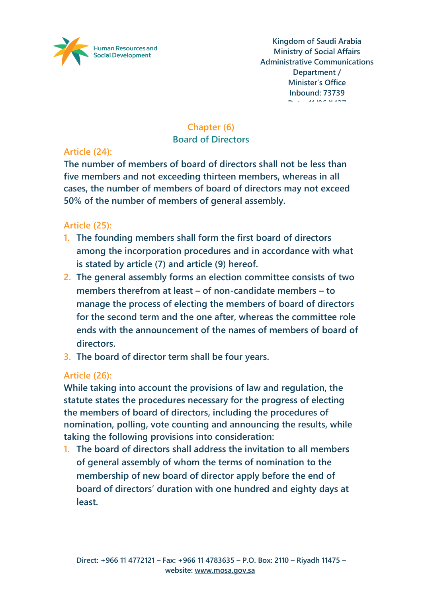

# **Chapter (6)**

### **Board of Directors**

# **Article (24):**

**The number of members of board of directors shall not be less than five members and not exceeding thirteen members, whereas in all cases, the number of members of board of directors may not exceed 50% of the number of members of general assembly.**

# **Article (25):**

- **1. The founding members shall form the first board of directors among the incorporation procedures and in accordance with what is stated by article (7) and article (9) hereof.**
- **2. The general assembly forms an election committee consists of two members therefrom at least – of non-candidate members – to manage the process of electing the members of board of directors for the second term and the one after, whereas the committee role ends with the announcement of the names of members of board of directors.**
- **3. The board of director term shall be four years.**

# **Article (26):**

**While taking into account the provisions of law and regulation, the statute states the procedures necessary for the progress of electing the members of board of directors, including the procedures of nomination, polling, vote counting and announcing the results, while taking the following provisions into consideration:**

**1. The board of directors shall address the invitation to all members of general assembly of whom the terms of nomination to the membership of new board of director apply before the end of board of directors' duration with one hundred and eighty days at least.**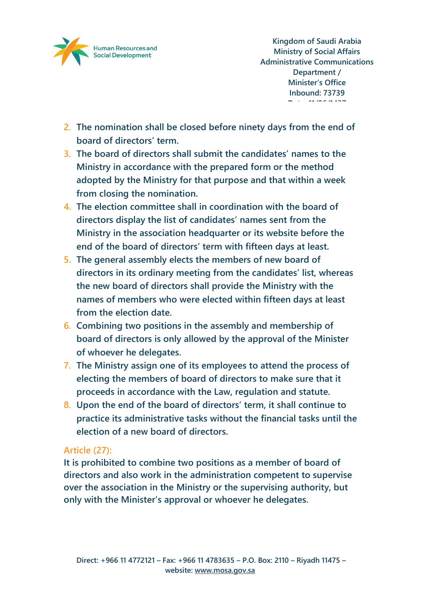

- **2. The nomination shall be closed before ninety days from the end of board of directors' term.**
- **3. The board of directors shall submit the candidates' names to the Ministry in accordance with the prepared form or the method adopted by the Ministry for that purpose and that within a week from closing the nomination.**
- **4. The election committee shall in coordination with the board of directors display the list of candidates' names sent from the Ministry in the association headquarter or its website before the end of the board of directors' term with fifteen days at least.**
- **5. The general assembly elects the members of new board of directors in its ordinary meeting from the candidates' list, whereas the new board of directors shall provide the Ministry with the names of members who were elected within fifteen days at least from the election date.**
- **6. Combining two positions in the assembly and membership of board of directors is only allowed by the approval of the Minister of whoever he delegates.**
- **7. The Ministry assign one of its employees to attend the process of electing the members of board of directors to make sure that it proceeds in accordance with the Law, regulation and statute.**
- **8. Upon the end of the board of directors' term, it shall continue to practice its administrative tasks without the financial tasks until the election of a new board of directors.**

### **Article (27):**

**It is prohibited to combine two positions as a member of board of directors and also work in the administration competent to supervise over the association in the Ministry or the supervising authority, but only with the Minister's approval or whoever he delegates.**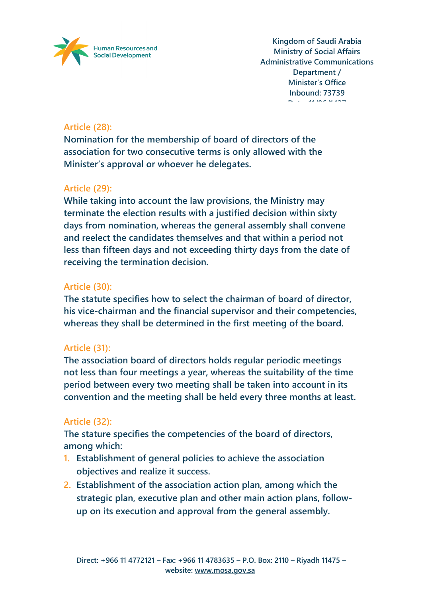

# **Article (28):**

**Nomination for the membership of board of directors of the association for two consecutive terms is only allowed with the Minister's approval or whoever he delegates.**

### **Article (29):**

**While taking into account the law provisions, the Ministry may terminate the election results with a justified decision within sixty days from nomination, whereas the general assembly shall convene and reelect the candidates themselves and that within a period not less than fifteen days and not exceeding thirty days from the date of receiving the termination decision.**

# **Article (30):**

**The statute specifies how to select the chairman of board of director, his vice-chairman and the financial supervisor and their competencies, whereas they shall be determined in the first meeting of the board.**

# **Article (31):**

**The association board of directors holds regular periodic meetings not less than four meetings a year, whereas the suitability of the time period between every two meeting shall be taken into account in its convention and the meeting shall be held every three months at least.**

# **Article (32):**

**The stature specifies the competencies of the board of directors, among which:**

- **1. Establishment of general policies to achieve the association objectives and realize it success.**
- **2. Establishment of the association action plan, among which the strategic plan, executive plan and other main action plans, followup on its execution and approval from the general assembly.**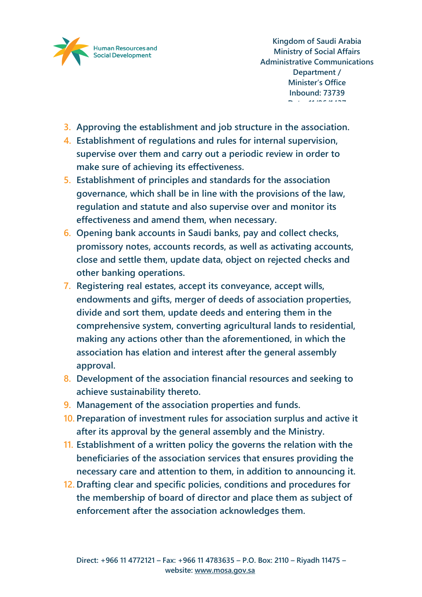

- **3. Approving the establishment and job structure in the association.**
- **4. Establishment of regulations and rules for internal supervision, supervise over them and carry out a periodic review in order to make sure of achieving its effectiveness.**
- **5. Establishment of principles and standards for the association governance, which shall be in line with the provisions of the law, regulation and statute and also supervise over and monitor its effectiveness and amend them, when necessary.**
- **6. Opening bank accounts in Saudi banks, pay and collect checks, promissory notes, accounts records, as well as activating accounts, close and settle them, update data, object on rejected checks and other banking operations.**
- **7. Registering real estates, accept its conveyance, accept wills, endowments and gifts, merger of deeds of association properties, divide and sort them, update deeds and entering them in the comprehensive system, converting agricultural lands to residential, making any actions other than the aforementioned, in which the association has elation and interest after the general assembly approval.**
- **8. Development of the association financial resources and seeking to achieve sustainability thereto.**
- **9. Management of the association properties and funds.**
- **10. Preparation of investment rules for association surplus and active it after its approval by the general assembly and the Ministry.**
- **11. Establishment of a written policy the governs the relation with the beneficiaries of the association services that ensures providing the necessary care and attention to them, in addition to announcing it.**
- **12. Drafting clear and specific policies, conditions and procedures for the membership of board of director and place them as subject of enforcement after the association acknowledges them.**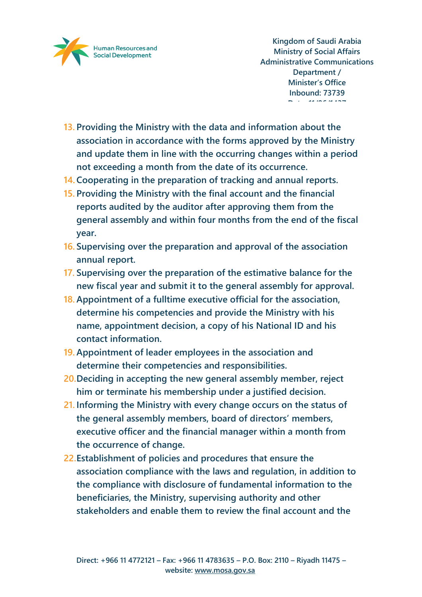

- **13. Providing the Ministry with the data and information about the association in accordance with the forms approved by the Ministry and update them in line with the occurring changes within a period not exceeding a month from the date of its occurrence.**
- **14. Cooperating in the preparation of tracking and annual reports.**
- **15. Providing the Ministry with the final account and the financial reports audited by the auditor after approving them from the general assembly and within four months from the end of the fiscal year.**
- **16. Supervising over the preparation and approval of the association annual report.**
- **17. Supervising over the preparation of the estimative balance for the new fiscal year and submit it to the general assembly for approval.**
- **18. Appointment of a fulltime executive official for the association, determine his competencies and provide the Ministry with his name, appointment decision, a copy of his National ID and his contact information.**
- **19. Appointment of leader employees in the association and determine their competencies and responsibilities.**
- **20.Deciding in accepting the new general assembly member, reject him or terminate his membership under a justified decision.**
- **21. Informing the Ministry with every change occurs on the status of the general assembly members, board of directors' members, executive officer and the financial manager within a month from the occurrence of change.**
- **22.Establishment of policies and procedures that ensure the association compliance with the laws and regulation, in addition to the compliance with disclosure of fundamental information to the beneficiaries, the Ministry, supervising authority and other stakeholders and enable them to review the final account and the**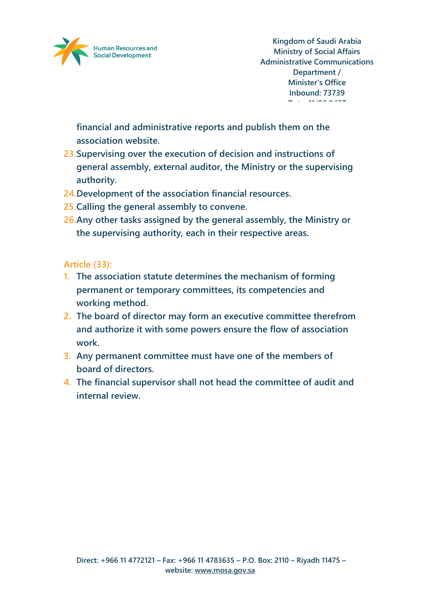

**financial and administrative reports and publish them on the association website.**

- **23.Supervising over the execution of decision and instructions of general assembly, external auditor, the Ministry or the supervising authority.**
- **24.Development of the association financial resources.**
- **25.Calling the general assembly to convene.**
- **26.Any other tasks assigned by the general assembly, the Ministry or the supervising authority, each in their respective areas.**

#### **Article (33):**

- **1. The association statute determines the mechanism of forming permanent or temporary committees, its competencies and working method.**
- **2. The board of director may form an executive committee therefrom and authorize it with some powers ensure the flow of association work.**
- **3. Any permanent committee must have one of the members of board of directors.**
- **4. The financial supervisor shall not head the committee of audit and internal review.**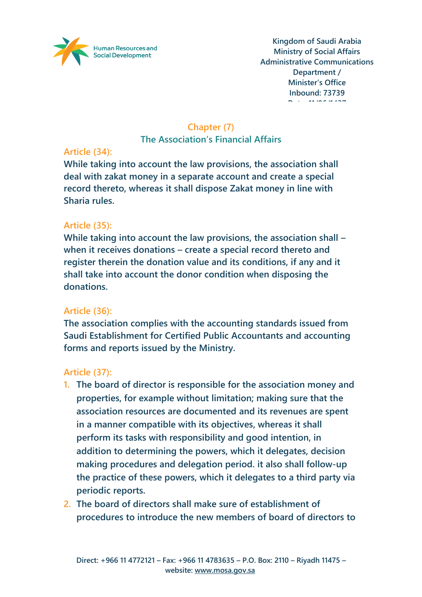

### **Chapter (7)**

**The Association's Financial Affairs**

# **Article (34):**

**While taking into account the law provisions, the association shall deal with zakat money in a separate account and create a special record thereto, whereas it shall dispose Zakat money in line with Sharia rules.**

# **Article (35):**

**While taking into account the law provisions, the association shall – when it receives donations – create a special record thereto and register therein the donation value and its conditions, if any and it shall take into account the donor condition when disposing the donations.**

# **Article (36):**

**The association complies with the accounting standards issued from Saudi Establishment for Certified Public Accountants and accounting forms and reports issued by the Ministry.**

# **Article (37):**

- **1. The board of director is responsible for the association money and properties, for example without limitation; making sure that the association resources are documented and its revenues are spent in a manner compatible with its objectives, whereas it shall perform its tasks with responsibility and good intention, in addition to determining the powers, which it delegates, decision making procedures and delegation period. it also shall follow-up the practice of these powers, which it delegates to a third party via periodic reports.**
- **2. The board of directors shall make sure of establishment of procedures to introduce the new members of board of directors to**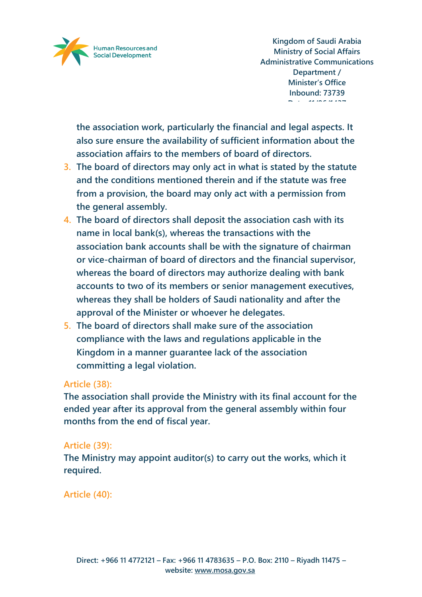

**the association work, particularly the financial and legal aspects. It also sure ensure the availability of sufficient information about the association affairs to the members of board of directors.**

- **3. The board of directors may only act in what is stated by the statute and the conditions mentioned therein and if the statute was free from a provision, the board may only act with a permission from the general assembly.**
- **4. The board of directors shall deposit the association cash with its name in local bank(s), whereas the transactions with the association bank accounts shall be with the signature of chairman or vice-chairman of board of directors and the financial supervisor, whereas the board of directors may authorize dealing with bank accounts to two of its members or senior management executives, whereas they shall be holders of Saudi nationality and after the approval of the Minister or whoever he delegates.**
- **5. The board of directors shall make sure of the association compliance with the laws and regulations applicable in the Kingdom in a manner guarantee lack of the association committing a legal violation.**

### **Article (38):**

**The association shall provide the Ministry with its final account for the ended year after its approval from the general assembly within four months from the end of fiscal year.**

### **Article (39):**

**The Ministry may appoint auditor(s) to carry out the works, which it required.**

### **Article (40):**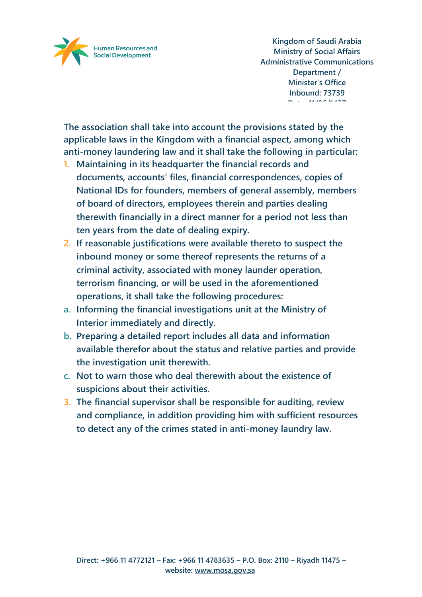

**The association shall take into account the provisions stated by the applicable laws in the Kingdom with a financial aspect, among which anti-money laundering law and it shall take the following in particular:**

- **1. Maintaining in its headquarter the financial records and documents, accounts' files, financial correspondences, copies of National IDs for founders, members of general assembly, members of board of directors, employees therein and parties dealing therewith financially in a direct manner for a period not less than ten years from the date of dealing expiry.**
- **2. If reasonable justifications were available thereto to suspect the inbound money or some thereof represents the returns of a criminal activity, associated with money launder operation, terrorism financing, or will be used in the aforementioned operations, it shall take the following procedures:**
- **a. Informing the financial investigations unit at the Ministry of Interior immediately and directly.**
- **b. Preparing a detailed report includes all data and information available therefor about the status and relative parties and provide the investigation unit therewith.**
- **c. Not to warn those who deal therewith about the existence of suspicions about their activities.**
- **3. The financial supervisor shall be responsible for auditing, review and compliance, in addition providing him with sufficient resources to detect any of the crimes stated in anti-money laundry law.**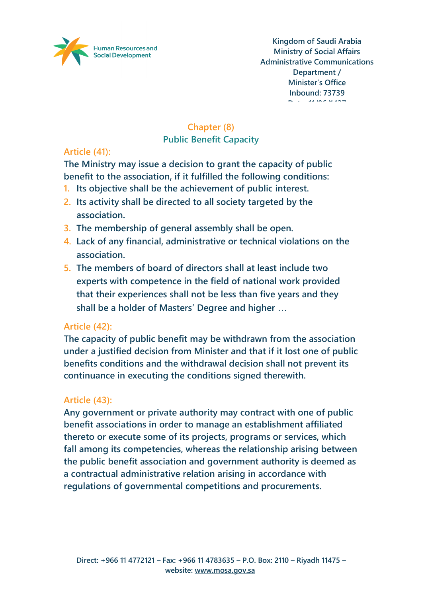

# **Chapter (8)**

### **Public Benefit Capacity**

# **Article (41):**

**The Ministry may issue a decision to grant the capacity of public benefit to the association, if it fulfilled the following conditions:**

- **1. Its objective shall be the achievement of public interest.**
- **2. Its activity shall be directed to all society targeted by the association.**
- **3. The membership of general assembly shall be open.**
- **4. Lack of any financial, administrative or technical violations on the association.**
- **5. The members of board of directors shall at least include two experts with competence in the field of national work provided that their experiences shall not be less than five years and they shall be a holder of Masters' Degree and higher** …

# **Article (42):**

**The capacity of public benefit may be withdrawn from the association under a justified decision from Minister and that if it lost one of public benefits conditions and the withdrawal decision shall not prevent its continuance in executing the conditions signed therewith.** 

# **Article (43):**

**Any government or private authority may contract with one of public benefit associations in order to manage an establishment affiliated thereto or execute some of its projects, programs or services, which fall among its competencies, whereas the relationship arising between the public benefit association and government authority is deemed as a contractual administrative relation arising in accordance with regulations of governmental competitions and procurements.**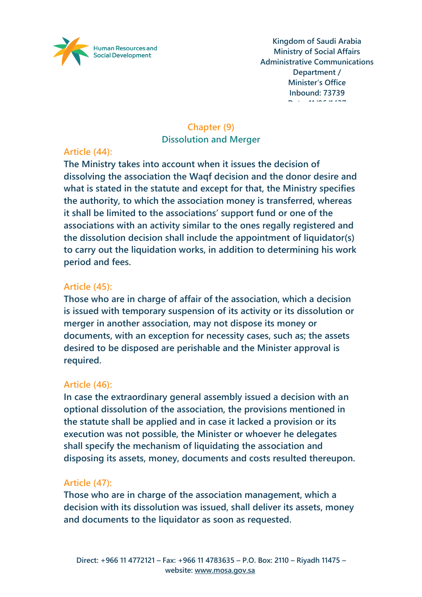

# **Chapter (9) Dissolution and Merger**

# **Article (44):**

**The Ministry takes into account when it issues the decision of dissolving the association the Waqf decision and the donor desire and what is stated in the statute and except for that, the Ministry specifies the authority, to which the association money is transferred, whereas it shall be limited to the associations' support fund or one of the associations with an activity similar to the ones regally registered and the dissolution decision shall include the appointment of liquidator(s) to carry out the liquidation works, in addition to determining his work period and fees.**

### **Article (45):**

**Those who are in charge of affair of the association, which a decision is issued with temporary suspension of its activity or its dissolution or merger in another association, may not dispose its money or documents, with an exception for necessity cases, such as; the assets desired to be disposed are perishable and the Minister approval is required.**

### **Article (46):**

**In case the extraordinary general assembly issued a decision with an optional dissolution of the association, the provisions mentioned in the statute shall be applied and in case it lacked a provision or its execution was not possible, the Minister or whoever he delegates shall specify the mechanism of liquidating the association and disposing its assets, money, documents and costs resulted thereupon.**

# **Article (47):**

**Those who are in charge of the association management, which a decision with its dissolution was issued, shall deliver its assets, money and documents to the liquidator as soon as requested.**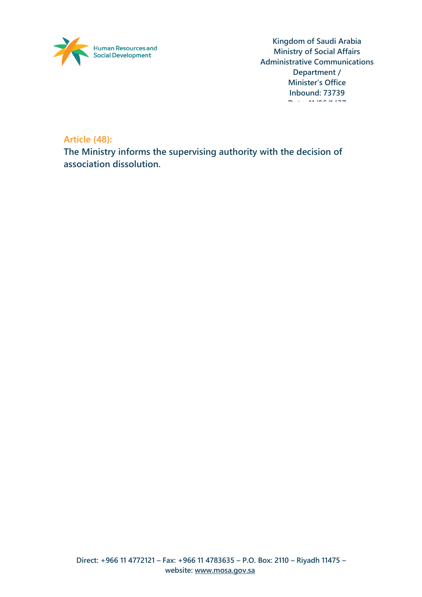

**Article (48):**

**The Ministry informs the supervising authority with the decision of association dissolution.**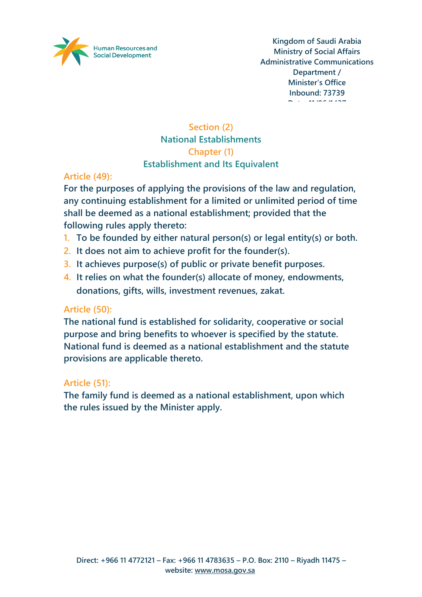

# **Section (2) National Establishments Chapter (1) Establishment and Its Equivalent**

# **Article (49):**

**For the purposes of applying the provisions of the law and regulation, any continuing establishment for a limited or unlimited period of time shall be deemed as a national establishment; provided that the following rules apply thereto:**

- **1. To be founded by either natural person(s) or legal entity(s) or both.**
- **2. It does not aim to achieve profit for the founder(s).**
- **3. It achieves purpose(s) of public or private benefit purposes.**
- **4. It relies on what the founder(s) allocate of money, endowments, donations, gifts, wills, investment revenues, zakat.**

### **Article (50):**

**The national fund is established for solidarity, cooperative or social purpose and bring benefits to whoever is specified by the statute. National fund is deemed as a national establishment and the statute provisions are applicable thereto.**

### **Article (51):**

**The family fund is deemed as a national establishment, upon which the rules issued by the Minister apply.**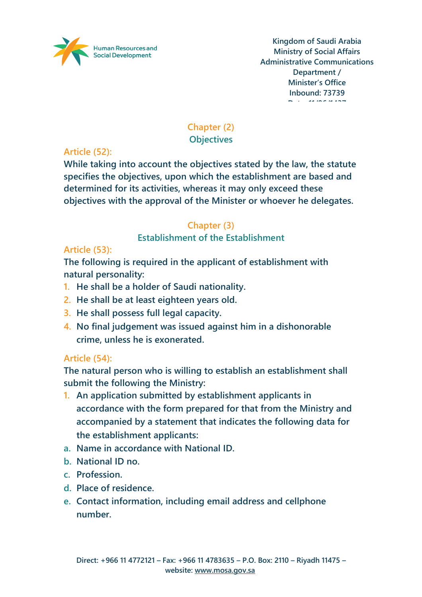

# **Chapter (2)**

**Objectives**

**Article (52):**

**While taking into account the objectives stated by the law, the statute specifies the objectives, upon which the establishment are based and determined for its activities, whereas it may only exceed these objectives with the approval of the Minister or whoever he delegates.**

# **Chapter (3)**

**Establishment of the Establishment**

# **Article (53):**

**The following is required in the applicant of establishment with natural personality:**

- **1. He shall be a holder of Saudi nationality.**
- **2. He shall be at least eighteen years old.**
- **3. He shall possess full legal capacity.**
- **4. No final judgement was issued against him in a dishonorable crime, unless he is exonerated.**

# **Article (54):**

**The natural person who is willing to establish an establishment shall submit the following the Ministry:**

- **1. An application submitted by establishment applicants in accordance with the form prepared for that from the Ministry and accompanied by a statement that indicates the following data for the establishment applicants:**
- **a. Name in accordance with National ID.**
- **b. National ID no.**
- **c. Profession.**
- **d. Place of residence.**
- **e. Contact information, including email address and cellphone number.**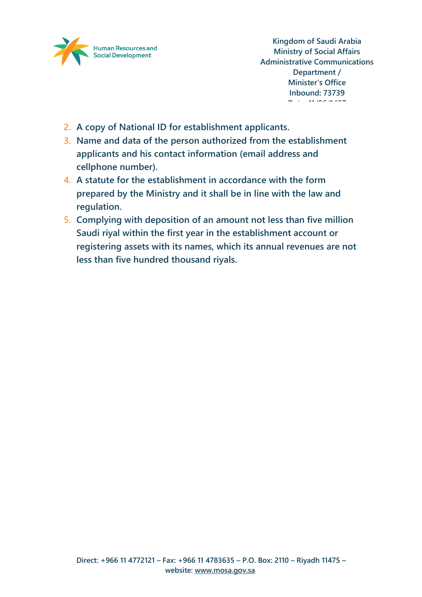

- **2. A copy of National ID for establishment applicants.**
- **3. Name and data of the person authorized from the establishment applicants and his contact information (email address and cellphone number).**
- **4. A statute for the establishment in accordance with the form prepared by the Ministry and it shall be in line with the law and regulation.**
- **5. Complying with deposition of an amount not less than five million Saudi riyal within the first year in the establishment account or registering assets with its names, which its annual revenues are not less than five hundred thousand riyals.**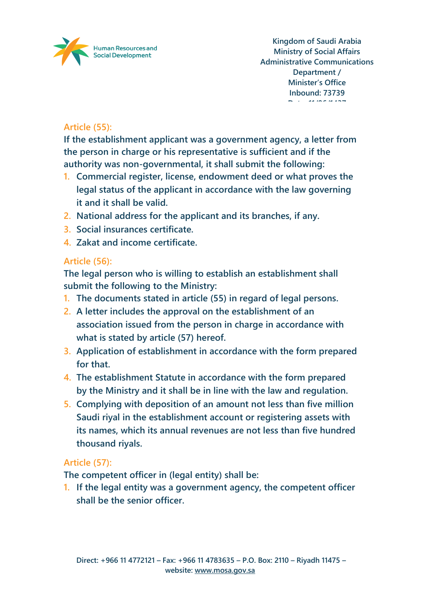

# **Article (55):**

**If the establishment applicant was a government agency, a letter from the person in charge or his representative is sufficient and if the authority was non-governmental, it shall submit the following:**

- **1. Commercial register, license, endowment deed or what proves the legal status of the applicant in accordance with the law governing it and it shall be valid.**
- **2. National address for the applicant and its branches, if any.**
- **3. Social insurances certificate.**
- **4. Zakat and income certificate.**

# **Article (56):**

**The legal person who is willing to establish an establishment shall submit the following to the Ministry:**

- **1. The documents stated in article (55) in regard of legal persons.**
- **2. A letter includes the approval on the establishment of an association issued from the person in charge in accordance with what is stated by article (57) hereof.**
- **3. Application of establishment in accordance with the form prepared for that.**
- **4. The establishment Statute in accordance with the form prepared by the Ministry and it shall be in line with the law and regulation.**
- **5. Complying with deposition of an amount not less than five million Saudi riyal in the establishment account or registering assets with its names, which its annual revenues are not less than five hundred thousand riyals.**

# **Article (57):**

**The competent officer in (legal entity) shall be:**

**1. If the legal entity was a government agency, the competent officer shall be the senior officer.**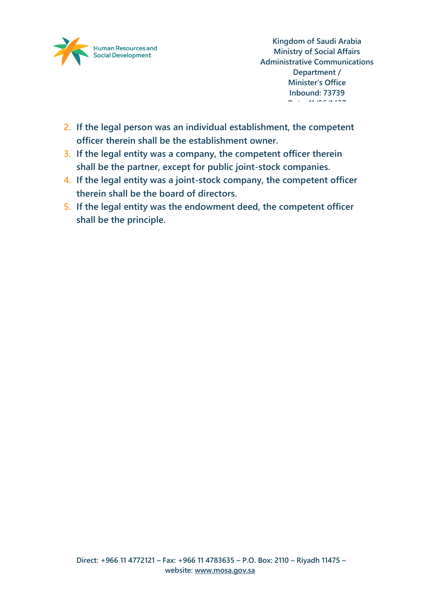

- **2. If the legal person was an individual establishment, the competent officer therein shall be the establishment owner.**
- **3. If the legal entity was a company, the competent officer therein shall be the partner, except for public joint-stock companies.**
- **4. If the legal entity was a joint-stock company, the competent officer therein shall be the board of directors.**
- **5. If the legal entity was the endowment deed, the competent officer shall be the principle.**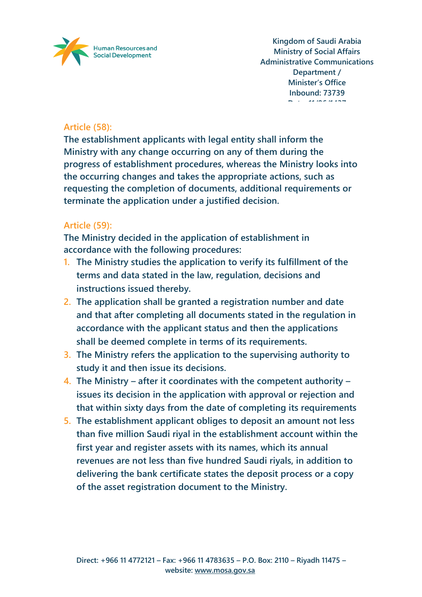

# **Article (58):**

**The establishment applicants with legal entity shall inform the Ministry with any change occurring on any of them during the progress of establishment procedures, whereas the Ministry looks into the occurring changes and takes the appropriate actions, such as requesting the completion of documents, additional requirements or terminate the application under a justified decision.**

### **Article (59):**

**The Ministry decided in the application of establishment in accordance with the following procedures:**

- **1. The Ministry studies the application to verify its fulfillment of the terms and data stated in the law, regulation, decisions and instructions issued thereby.**
- **2. The application shall be granted a registration number and date and that after completing all documents stated in the regulation in accordance with the applicant status and then the applications shall be deemed complete in terms of its requirements.**
- **3. The Ministry refers the application to the supervising authority to study it and then issue its decisions.**
- **4. The Ministry – after it coordinates with the competent authority – issues its decision in the application with approval or rejection and that within sixty days from the date of completing its requirements**
- **5. The establishment applicant obliges to deposit an amount not less than five million Saudi riyal in the establishment account within the first year and register assets with its names, which its annual revenues are not less than five hundred Saudi riyals, in addition to delivering the bank certificate states the deposit process or a copy of the asset registration document to the Ministry.**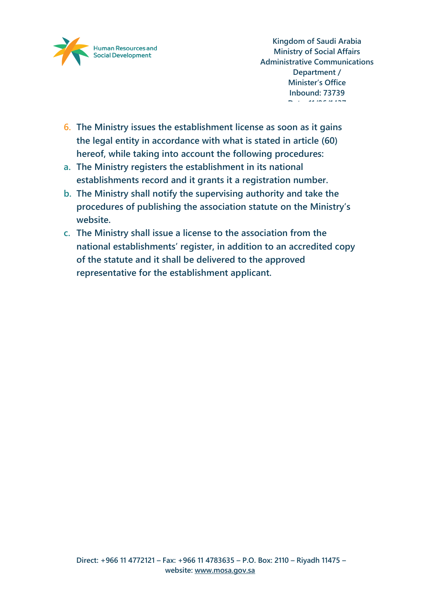

- **6. The Ministry issues the establishment license as soon as it gains the legal entity in accordance with what is stated in article (60) hereof, while taking into account the following procedures:**
- **a. The Ministry registers the establishment in its national establishments record and it grants it a registration number.**
- **b. The Ministry shall notify the supervising authority and take the procedures of publishing the association statute on the Ministry's website.**
- **c. The Ministry shall issue a license to the association from the national establishments' register, in addition to an accredited copy of the statute and it shall be delivered to the approved representative for the establishment applicant.**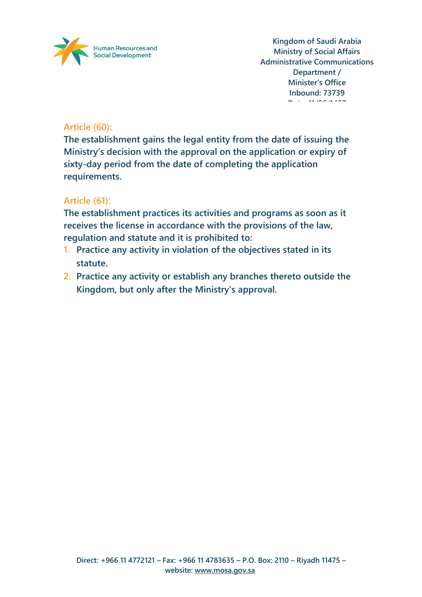

# **Article (60):**

**The establishment gains the legal entity from the date of issuing the Ministry's decision with the approval on the application or expiry of sixty-day period from the date of completing the application requirements.**

# **Article (61):**

**The establishment practices its activities and programs as soon as it receives the license in accordance with the provisions of the law, regulation and statute and it is prohibited to:**

- **1. Practice any activity in violation of the objectives stated in its statute.**
- **2. Practice any activity or establish any branches thereto outside the Kingdom, but only after the Ministry's approval.**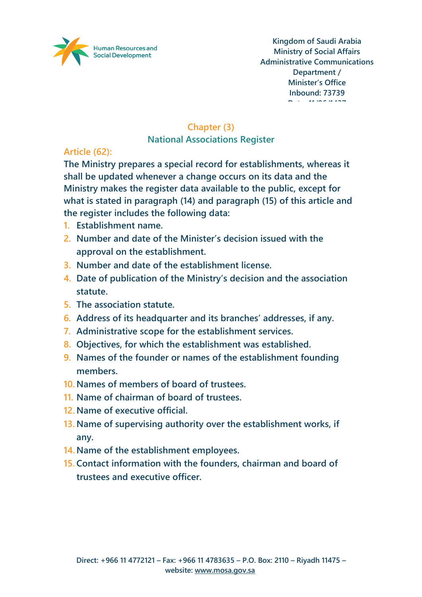

# **Chapter (3)**

**National Associations Register**

# **Article (62):**

**The Ministry prepares a special record for establishments, whereas it shall be updated whenever a change occurs on its data and the Ministry makes the register data available to the public, except for what is stated in paragraph (14) and paragraph (15) of this article and the register includes the following data:**

- **1. Establishment name.**
- **2. Number and date of the Minister's decision issued with the approval on the establishment.**
- **3. Number and date of the establishment license.**
- **4. Date of publication of the Ministry's decision and the association statute.**
- **5. The association statute.**
- **6. Address of its headquarter and its branches' addresses, if any.**
- **7. Administrative scope for the establishment services.**
- **8. Objectives, for which the establishment was established.**
- **9. Names of the founder or names of the establishment founding members.**
- **10. Names of members of board of trustees.**
- **11. Name of chairman of board of trustees.**
- **12. Name of executive official.**
- **13. Name of supervising authority over the establishment works, if any.**
- **14. Name of the establishment employees.**
- **15. Contact information with the founders, chairman and board of trustees and executive officer.**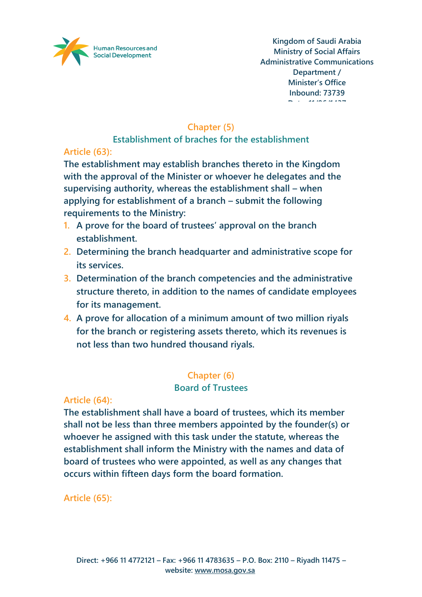

# **Chapter (5)**

### **Establishment of braches for the establishment**

# **Article (63):**

**The establishment may establish branches thereto in the Kingdom with the approval of the Minister or whoever he delegates and the supervising authority, whereas the establishment shall – when applying for establishment of a branch – submit the following requirements to the Ministry:**

- **1. A prove for the board of trustees' approval on the branch establishment.**
- **2. Determining the branch headquarter and administrative scope for its services.**
- **3. Determination of the branch competencies and the administrative structure thereto, in addition to the names of candidate employees for its management.**
- **4. A prove for allocation of a minimum amount of two million riyals for the branch or registering assets thereto, which its revenues is not less than two hundred thousand riyals.**

# **Chapter (6)**

### **Board of Trustees**

### **Article (64):**

**The establishment shall have a board of trustees, which its member shall not be less than three members appointed by the founder(s) or whoever he assigned with this task under the statute, whereas the establishment shall inform the Ministry with the names and data of board of trustees who were appointed, as well as any changes that occurs within fifteen days form the board formation.**

**Article (65):**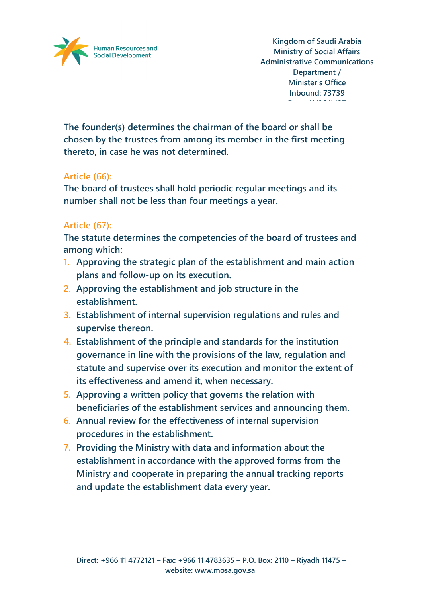

**The founder(s) determines the chairman of the board or shall be chosen by the trustees from among its member in the first meeting thereto, in case he was not determined.**

#### **Article (66):**

**The board of trustees shall hold periodic regular meetings and its number shall not be less than four meetings a year.**

#### **Article (67):**

**The statute determines the competencies of the board of trustees and among which:**

- **1. Approving the strategic plan of the establishment and main action plans and follow-up on its execution.**
- **2. Approving the establishment and job structure in the establishment.**
- **3. Establishment of internal supervision regulations and rules and supervise thereon.**
- **4. Establishment of the principle and standards for the institution governance in line with the provisions of the law, regulation and statute and supervise over its execution and monitor the extent of its effectiveness and amend it, when necessary.**
- **5. Approving a written policy that governs the relation with beneficiaries of the establishment services and announcing them.**
- **6. Annual review for the effectiveness of internal supervision procedures in the establishment.**
- **7. Providing the Ministry with data and information about the establishment in accordance with the approved forms from the Ministry and cooperate in preparing the annual tracking reports and update the establishment data every year.**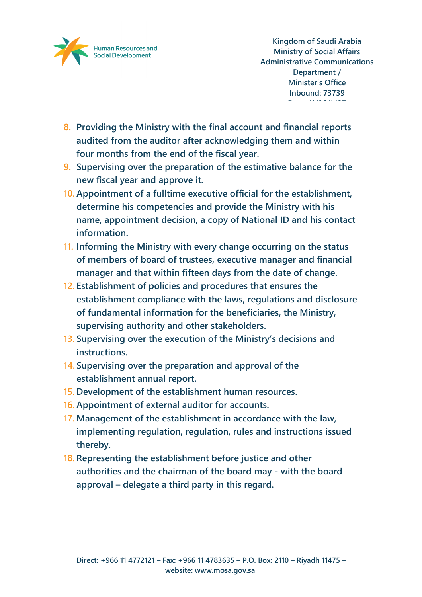

- **8. Providing the Ministry with the final account and financial reports audited from the auditor after acknowledging them and within four months from the end of the fiscal year.**
- **9. Supervising over the preparation of the estimative balance for the new fiscal year and approve it.**
- **10. Appointment of a fulltime executive official for the establishment, determine his competencies and provide the Ministry with his name, appointment decision, a copy of National ID and his contact information.**
- **11. Informing the Ministry with every change occurring on the status of members of board of trustees, executive manager and financial manager and that within fifteen days from the date of change.**
- **12. Establishment of policies and procedures that ensures the establishment compliance with the laws, regulations and disclosure of fundamental information for the beneficiaries, the Ministry, supervising authority and other stakeholders.**
- **13. Supervising over the execution of the Ministry's decisions and instructions.**
- **14. Supervising over the preparation and approval of the establishment annual report.**
- **15. Development of the establishment human resources.**
- **16. Appointment of external auditor for accounts.**
- **17. Management of the establishment in accordance with the law, implementing regulation, regulation, rules and instructions issued thereby.**
- **18. Representing the establishment before justice and other authorities and the chairman of the board may - with the board approval – delegate a third party in this regard.**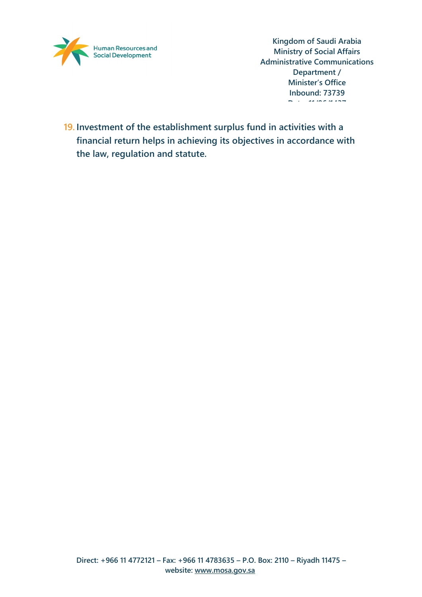

**19. Investment of the establishment surplus fund in activities with a financial return helps in achieving its objectives in accordance with the law, regulation and statute.**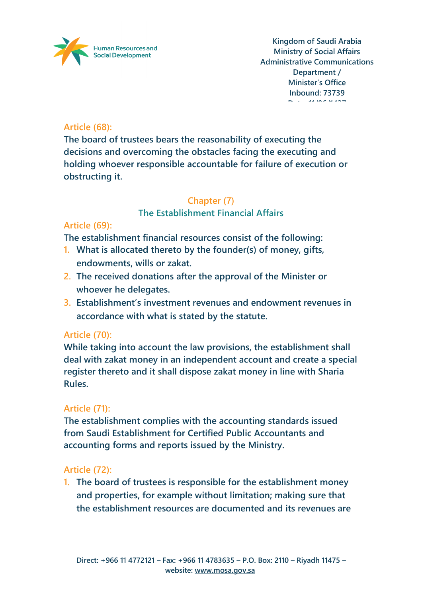

### **Article (68):**

**The board of trustees bears the reasonability of executing the decisions and overcoming the obstacles facing the executing and holding whoever responsible accountable for failure of execution or obstructing it.**

#### **Chapter (7)**

#### **The Establishment Financial Affairs**

### **Article (69):**

**The establishment financial resources consist of the following:**

- **1. What is allocated thereto by the founder(s) of money, gifts, endowments, wills or zakat.**
- **2. The received donations after the approval of the Minister or whoever he delegates.**
- **3. Establishment's investment revenues and endowment revenues in accordance with what is stated by the statute.**

### **Article (70):**

**While taking into account the law provisions, the establishment shall deal with zakat money in an independent account and create a special register thereto and it shall dispose zakat money in line with Sharia Rules.**

### **Article (71):**

**The establishment complies with the accounting standards issued from Saudi Establishment for Certified Public Accountants and accounting forms and reports issued by the Ministry.**

### **Article (72):**

**1. The board of trustees is responsible for the establishment money and properties, for example without limitation; making sure that the establishment resources are documented and its revenues are**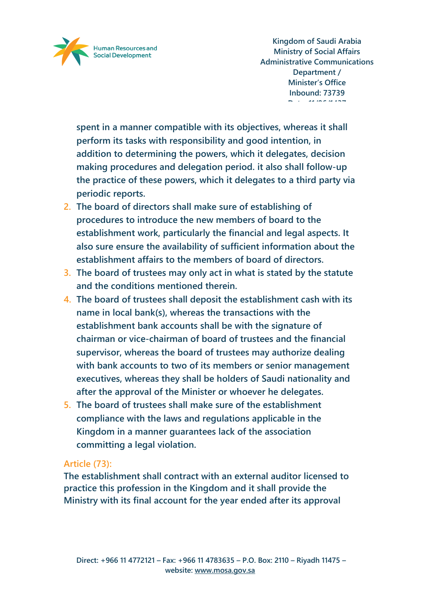

**spent in a manner compatible with its objectives, whereas it shall perform its tasks with responsibility and good intention, in addition to determining the powers, which it delegates, decision making procedures and delegation period. it also shall follow-up the practice of these powers, which it delegates to a third party via periodic reports.**

- **2. The board of directors shall make sure of establishing of procedures to introduce the new members of board to the establishment work, particularly the financial and legal aspects. It also sure ensure the availability of sufficient information about the establishment affairs to the members of board of directors.**
- **3. The board of trustees may only act in what is stated by the statute and the conditions mentioned therein.**
- **4. The board of trustees shall deposit the establishment cash with its name in local bank(s), whereas the transactions with the establishment bank accounts shall be with the signature of chairman or vice-chairman of board of trustees and the financial supervisor, whereas the board of trustees may authorize dealing with bank accounts to two of its members or senior management executives, whereas they shall be holders of Saudi nationality and after the approval of the Minister or whoever he delegates.**
- **5. The board of trustees shall make sure of the establishment compliance with the laws and regulations applicable in the Kingdom in a manner guarantees lack of the association committing a legal violation.**

#### **Article (73):**

**The establishment shall contract with an external auditor licensed to practice this profession in the Kingdom and it shall provide the Ministry with its final account for the year ended after its approval**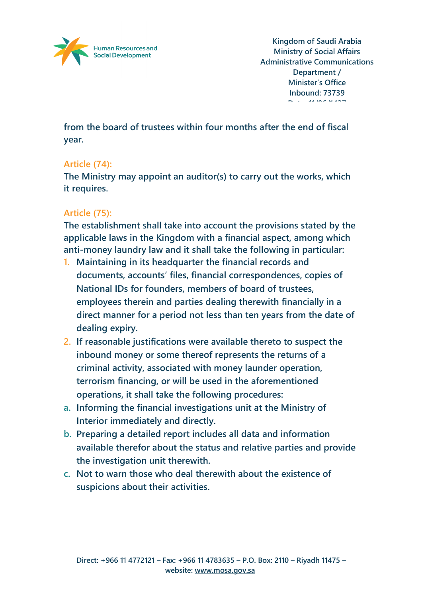

**from the board of trustees within four months after the end of fiscal year.**

### **Article (74):**

**The Ministry may appoint an auditor(s) to carry out the works, which it requires.**

#### **Article (75):**

**The establishment shall take into account the provisions stated by the applicable laws in the Kingdom with a financial aspect, among which anti-money laundry law and it shall take the following in particular:**

- **1. Maintaining in its headquarter the financial records and documents, accounts' files, financial correspondences, copies of National IDs for founders, members of board of trustees, employees therein and parties dealing therewith financially in a direct manner for a period not less than ten years from the date of dealing expiry.**
- **2. If reasonable justifications were available thereto to suspect the inbound money or some thereof represents the returns of a criminal activity, associated with money launder operation, terrorism financing, or will be used in the aforementioned operations, it shall take the following procedures:**
- **a. Informing the financial investigations unit at the Ministry of Interior immediately and directly.**
- **b. Preparing a detailed report includes all data and information available therefor about the status and relative parties and provide the investigation unit therewith.**
- **c. Not to warn those who deal therewith about the existence of suspicions about their activities.**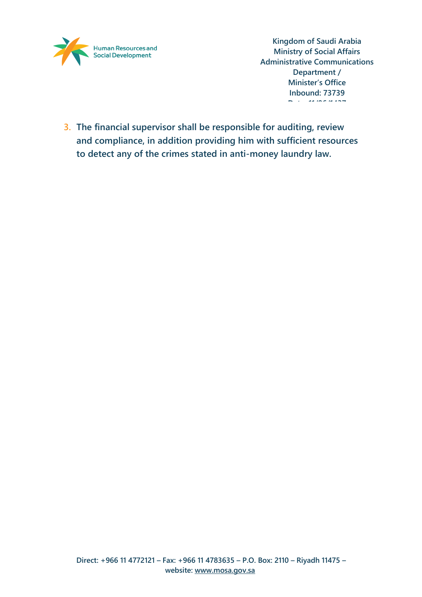

**3. The financial supervisor shall be responsible for auditing, review and compliance, in addition providing him with sufficient resources to detect any of the crimes stated in anti-money laundry law.**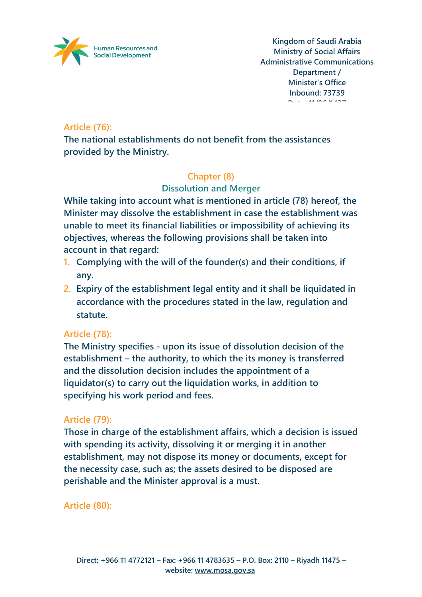

### **Article (76):**

**The national establishments do not benefit from the assistances provided by the Ministry.**

# **Chapter (8)**

# **Dissolution and Merger**

**While taking into account what is mentioned in article (78) hereof, the Minister may dissolve the establishment in case the establishment was unable to meet its financial liabilities or impossibility of achieving its objectives, whereas the following provisions shall be taken into account in that regard:**

- **1. Complying with the will of the founder(s) and their conditions, if any.**
- **2. Expiry of the establishment legal entity and it shall be liquidated in accordance with the procedures stated in the law, regulation and statute.**

### **Article (78):**

**The Ministry specifies - upon its issue of dissolution decision of the establishment – the authority, to which the its money is transferred and the dissolution decision includes the appointment of a liquidator(s) to carry out the liquidation works, in addition to specifying his work period and fees.**

### **Article (79):**

**Those in charge of the establishment affairs, which a decision is issued with spending its activity, dissolving it or merging it in another establishment, may not dispose its money or documents, except for the necessity case, such as; the assets desired to be disposed are perishable and the Minister approval is a must.**

**Article (80):**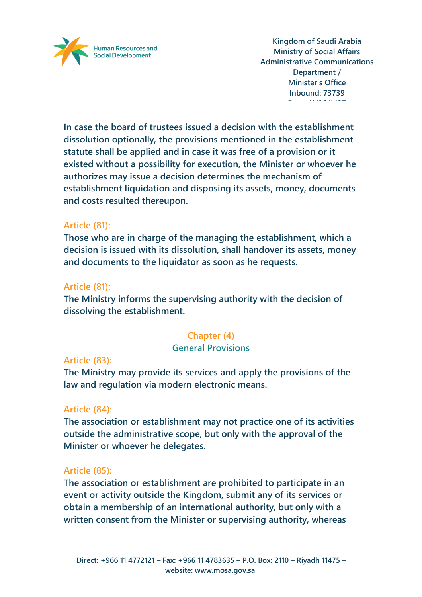

**In case the board of trustees issued a decision with the establishment dissolution optionally, the provisions mentioned in the establishment statute shall be applied and in case it was free of a provision or it existed without a possibility for execution, the Minister or whoever he authorizes may issue a decision determines the mechanism of establishment liquidation and disposing its assets, money, documents and costs resulted thereupon.**

#### **Article (81):**

**Those who are in charge of the managing the establishment, which a decision is issued with its dissolution, shall handover its assets, money and documents to the liquidator as soon as he requests.** 

#### **Article (81):**

**The Ministry informs the supervising authority with the decision of dissolving the establishment.**

### **Chapter (4)**

#### **General Provisions**

#### **Article (83):**

**The Ministry may provide its services and apply the provisions of the law and regulation via modern electronic means.**

#### **Article (84):**

**The association or establishment may not practice one of its activities outside the administrative scope, but only with the approval of the Minister or whoever he delegates.**

### **Article (85):**

**The association or establishment are prohibited to participate in an event or activity outside the Kingdom, submit any of its services or obtain a membership of an international authority, but only with a written consent from the Minister or supervising authority, whereas**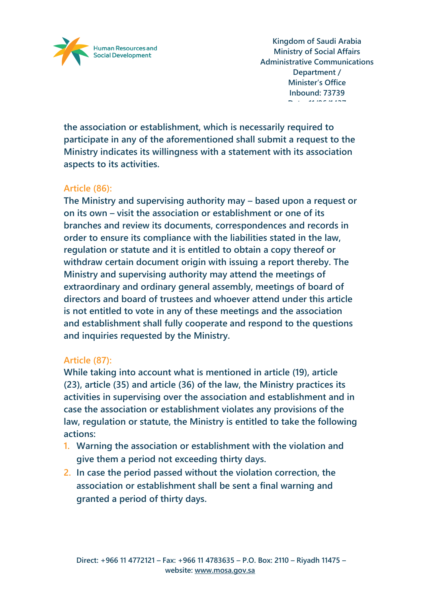

**the association or establishment, which is necessarily required to participate in any of the aforementioned shall submit a request to the Ministry indicates its willingness with a statement with its association aspects to its activities.**

### **Article (86):**

**The Ministry and supervising authority may – based upon a request or on its own – visit the association or establishment or one of its branches and review its documents, correspondences and records in order to ensure its compliance with the liabilities stated in the law, regulation or statute and it is entitled to obtain a copy thereof or withdraw certain document origin with issuing a report thereby. The Ministry and supervising authority may attend the meetings of extraordinary and ordinary general assembly, meetings of board of directors and board of trustees and whoever attend under this article is not entitled to vote in any of these meetings and the association and establishment shall fully cooperate and respond to the questions and inquiries requested by the Ministry.**

#### **Article (87):**

**While taking into account what is mentioned in article (19), article (23), article (35) and article (36) of the law, the Ministry practices its activities in supervising over the association and establishment and in case the association or establishment violates any provisions of the law, regulation or statute, the Ministry is entitled to take the following actions:**

- **1. Warning the association or establishment with the violation and give them a period not exceeding thirty days.**
- **2. In case the period passed without the violation correction, the association or establishment shall be sent a final warning and granted a period of thirty days.**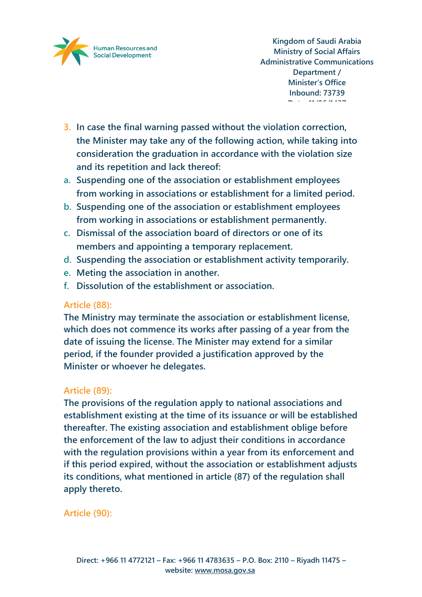

- **3. In case the final warning passed without the violation correction, the Minister may take any of the following action, while taking into consideration the graduation in accordance with the violation size and its repetition and lack thereof:**
- **a. Suspending one of the association or establishment employees from working in associations or establishment for a limited period.**
- **b. Suspending one of the association or establishment employees from working in associations or establishment permanently.**
- **c. Dismissal of the association board of directors or one of its members and appointing a temporary replacement.**
- **d. Suspending the association or establishment activity temporarily.**
- **e. Meting the association in another.**
- **f. Dissolution of the establishment or association.**

### **Article (88):**

**The Ministry may terminate the association or establishment license, which does not commence its works after passing of a year from the date of issuing the license. The Minister may extend for a similar period, if the founder provided a justification approved by the Minister or whoever he delegates.**

### **Article (89):**

**The provisions of the regulation apply to national associations and establishment existing at the time of its issuance or will be established thereafter. The existing association and establishment oblige before the enforcement of the law to adjust their conditions in accordance with the regulation provisions within a year from its enforcement and if this period expired, without the association or establishment adjusts its conditions, what mentioned in article (87) of the regulation shall apply thereto.**

### **Article (90):**